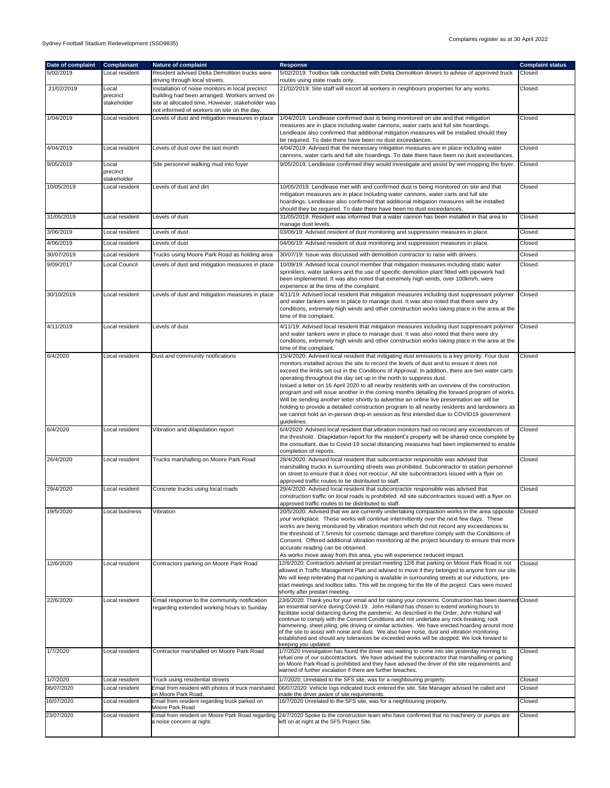| Date of complaint | Complainant                      | <b>Nature of complaint</b>                                                                                                                                                                            | Response                                                                                                                                                                                                                                                                                                                                                                                                                                                                                                                                                                                                                                                                                                                                                                                                                                                                    | <b>Complaint status</b> |
|-------------------|----------------------------------|-------------------------------------------------------------------------------------------------------------------------------------------------------------------------------------------------------|-----------------------------------------------------------------------------------------------------------------------------------------------------------------------------------------------------------------------------------------------------------------------------------------------------------------------------------------------------------------------------------------------------------------------------------------------------------------------------------------------------------------------------------------------------------------------------------------------------------------------------------------------------------------------------------------------------------------------------------------------------------------------------------------------------------------------------------------------------------------------------|-------------------------|
| 5/02/2019         | Local resident                   | Resident advised Delta Demolition trucks were<br>driving through local streets.                                                                                                                       | 5/02/2019: Toolbox talk conducted with Delta Demolition drivers to advise of approved truck<br>routes using state roads only.                                                                                                                                                                                                                                                                                                                                                                                                                                                                                                                                                                                                                                                                                                                                               | Closed                  |
| 21/02/2019        | Local<br>precinct<br>stakeholder | Installation of noise monitors in local precinct<br>building had been arranged. Workers arrived on<br>site at allocated time. However, stakeholder was<br>not informed of workers on site on the day. | 21/02/2019: Site staff will escort all workers in neighbours properties for any works.                                                                                                                                                                                                                                                                                                                                                                                                                                                                                                                                                                                                                                                                                                                                                                                      | Closed                  |
| 1/04/2019         | Local resident                   | Levels of dust and mitigation measures in place                                                                                                                                                       | 1/04/2019: Lendlease confirmed dust is being monitored on site and that mitigation<br>measures are in place including water cannons, water carts and full site hoardings.<br>Lendlease also confirmed that additional mitigation measures will be installed should they<br>be required. To date there have been no dust exceedances.                                                                                                                                                                                                                                                                                                                                                                                                                                                                                                                                        | Closed                  |
| 4/04/2019         | Local resident                   | Levels of dust over the last month                                                                                                                                                                    | 4/04/2019: Advised that the necessary mitigation measures are in place including water<br>cannons, water carts and full site hoardings. To date there have been no dust exceedances.                                                                                                                                                                                                                                                                                                                                                                                                                                                                                                                                                                                                                                                                                        | Closed                  |
| 9/05/2019         | Local<br>precinct<br>stakeholder | Site personnel walking mud into foyer                                                                                                                                                                 | 9/05/2019: Lendlease confirmed they would investigate and assist by wet mopping the foyer.                                                                                                                                                                                                                                                                                                                                                                                                                                                                                                                                                                                                                                                                                                                                                                                  | Closed                  |
| 10/05/2019        | Local resident                   | Levels of dust and dirt                                                                                                                                                                               | 10/05/2019: Lendlease met with and confirmed dust is being monitored on site and that<br>mitigation measures are in place including water cannons, water carts and full site<br>hoardings. Lendlease also confirmed that additional mitigation measures will be installed<br>should they be required. To date there have been no dust exceedances.                                                                                                                                                                                                                                                                                                                                                                                                                                                                                                                          | Closed                  |
| 31/05/2019        | Local resident                   | Levels of dust                                                                                                                                                                                        | 31/05/2019: Resident was informed that a water cannon has been installed in that area to<br>manage dust levels.                                                                                                                                                                                                                                                                                                                                                                                                                                                                                                                                                                                                                                                                                                                                                             | Closed                  |
| 3/06/2019         | Local resident                   | Levels of dust                                                                                                                                                                                        | 03/06/19: Advised resident of dust monitoring and suppression measures in place.                                                                                                                                                                                                                                                                                                                                                                                                                                                                                                                                                                                                                                                                                                                                                                                            | Closed                  |
| 4/06/2019         | Local resident                   | Levels of dust                                                                                                                                                                                        | 04/06/19: Advised resident of dust monitoring and suppression measures in place.                                                                                                                                                                                                                                                                                                                                                                                                                                                                                                                                                                                                                                                                                                                                                                                            | Closed                  |
| 30/07/2019        | Local resident                   | Trucks using Moore Park Road as holding area                                                                                                                                                          | 30/07/19: Issue was discussed with demolition contractor to raise with drivers.                                                                                                                                                                                                                                                                                                                                                                                                                                                                                                                                                                                                                                                                                                                                                                                             | Closed                  |
| 9/09/2017         | Local Council                    | Levels of dust and mitigation measures in place                                                                                                                                                       | 10/09/19: Advised local council member that mitigation measures including static water<br>sprinklers, water tankers and the use of specific demolition plant fitted with pipework had<br>been implemented. It was also noted that extremely high winds, over 100km/h, were<br>experience at the time of the complaint.                                                                                                                                                                                                                                                                                                                                                                                                                                                                                                                                                      | Closed                  |
| 30/10/2019        | Local resident                   | Levels of dust and mitigation measures in place                                                                                                                                                       | 4/11/19: Advised local resident that mitigation measures including dust suppressant polymer<br>and water tankers were in place to manage dust. It was also noted that there were dry<br>conditions, extremely high winds and other construction works taking place in the area at the<br>time of the complaint.                                                                                                                                                                                                                                                                                                                                                                                                                                                                                                                                                             | Closed                  |
| 4/11/2019         | Local resident                   | Levels of dust                                                                                                                                                                                        | 4/11/19: Advised local resident that mitigation measures including dust suppressant polymer<br>and water tankers were in place to manage dust. It was also noted that there were dry<br>conditions, extremely high winds and other construction works taking place in the area at the<br>time of the complaint.                                                                                                                                                                                                                                                                                                                                                                                                                                                                                                                                                             | Closed                  |
| 6/4/2020          | Local resident                   | Dust and community notifications                                                                                                                                                                      | 15/4/2020: Advised local resident that mitigating dust emissions is a key priority. Four dust<br>monitors installed across the site to record the levels of dust and to ensure it does not<br>exceed the limits set out in the Conditions of Approval. In addition, there are two water carts<br>operating throughout the day set up in the north to suppress dust.<br>Issued a letter on 16 April 2020 to all nearby residents with an overview of the construction<br>program and will issue another in the coming months detailing the forward program of works.<br>Will be sending another letter shortly to advertise an online live presentation we will be<br>holding to provide a detailed construction program to all nearby residents and landowners as<br>we cannot hold an in-person drop-in session as first intended due to COVID19 government<br>guidelines. | Closed                  |
| 6/4/2020          | Local resident                   | Vibration and dilapidation report                                                                                                                                                                     | 6/4/2020: Advised local resident that vibration monitors had no record any exceedances of<br>the threshold. Dilapidation report for the resident's property will be shared once complete by<br>the consultant, due to Covid-19 social distancing measures had been implemented to enable<br>completion of reports.                                                                                                                                                                                                                                                                                                                                                                                                                                                                                                                                                          | Closed                  |
| 26/4/2020         | Local resident                   | Trucks marshalling on Moore Park Road                                                                                                                                                                 | 28/4/2020: Advised local resident that subcontractor responsible was advised that<br>marshalling trucks in surrounding streets was prohibited. Subcontractor to station personnel<br>on street to ensure that it does not reoccur. All site subcontractors issued with a flyer on<br>approved traffic routes to be distributed to staff.                                                                                                                                                                                                                                                                                                                                                                                                                                                                                                                                    | Closed                  |
| 29/4/2020         | Local resident                   | Concrete trucks using local roads                                                                                                                                                                     | 29/4/2020: Advised local resident that subcontractor responsible was advised that<br>construction traffic on local roads is prohibited. All site subcontractors issued with a flyer on<br>approved traffic routes to be distributed to staff.                                                                                                                                                                                                                                                                                                                                                                                                                                                                                                                                                                                                                               | Closed                  |
| 19/5/2020         | Local business                   | Vibration                                                                                                                                                                                             | 20/5/2020: Advised that we are currently undertaking compaction works in the area opposite<br>your workplace. These works will continue intermittently over the next few days. These<br>works are being monitored by vibration monitors which did not record any exceedances to<br>the threshold of 7.5mm/s for cosmetic damage and therefore comply with the Conditions of<br>Consent. Offered additional vibration monitoring at the project boundary to ensure that more<br>accurate reading can be obtained.<br>As works move away from this area, you will experience reduced impact.                                                                                                                                                                                                                                                                                  | Closed                  |
| 12/6/2020         | Local resident                   | Contractors parking on Moore Park Road                                                                                                                                                                | 12/6/2020: Contractors advised at prestart meeting 12/6 that parking on Moore Park Road is not<br>allowed in Traffic Management Plan and advised to move if they belonged to anyone from our site.<br>We will keep reiterating that no parking is available in surrounding streets at our inductions, pre-<br>start meetings and toolbox talks. This will be ongoing for the life of the project. Cars were moved<br>shortly after prestart meeting.                                                                                                                                                                                                                                                                                                                                                                                                                        | Closed                  |
| 22/6/2020         | Local resident                   | Email response to the community notification<br>regarding extended working hours to Sunday                                                                                                            | 23/6/2020: Thank you for your email and for raising your concerns. Construction has been deemed Closed<br>an essential service during Covid-19. John Holland has chosen to extend working hours to<br>facilitate social distancing during the pandemic. As described in the Order, John Holland will<br>continue to comply with the Consent Conditions and not undertake any rock breaking, rock<br>hammering, sheet piling, pile driving or similar activities. We have erected hoarding around most<br>of the site to assist with noise and dust. We also have noise, dust and vibration monitoring<br>established and should any tolerances be exceeded works will be stopped. We look forward to<br>keeping you updated.                                                                                                                                                |                         |
| 1/7/2020          | Local resident                   | Contractor marshalled on Moore Park Road                                                                                                                                                              | 1/7/2020 Investigation has found the driver was waiting to come into site yesterday morning to<br>refuel one of our subcontractors. We have advised the subcontractor that marshalling or parking<br>on Moore Park Road is prohibited and they have advised the driver of the site requirements and<br>warned of further escalation if there are further breaches.                                                                                                                                                                                                                                                                                                                                                                                                                                                                                                          | Closed                  |
| 1/7/2020          | Local resident                   | Truck using residential streets                                                                                                                                                                       | 1/7/2020: Unrelated to the SFS site, was for a neighbouring property.                                                                                                                                                                                                                                                                                                                                                                                                                                                                                                                                                                                                                                                                                                                                                                                                       | Closed                  |
| 06/07/2020        | Local resident                   | Email from resident with photos of truck marshaled<br>on Moore Park Road.                                                                                                                             | 06/07/2020: Vehicle logs indicated truck entered the site. Site Manager advised he called and<br>made the driver aware of site requirements.                                                                                                                                                                                                                                                                                                                                                                                                                                                                                                                                                                                                                                                                                                                                | Closed                  |
| 16/07/2020        | Local resident                   | Email from resident regarding truck parked on<br>Moore Park Road                                                                                                                                      | 16/7/2020 Unrelated to the SFS site, was for a neighbouring property.                                                                                                                                                                                                                                                                                                                                                                                                                                                                                                                                                                                                                                                                                                                                                                                                       | Closed                  |
| 23/07/2020        | Local resident                   | a noise concern at night.                                                                                                                                                                             | Email from resident on Moore Park Road regarding 24/7/2020 Spoke to the construction team who have confirmed that no machinery or pumps are<br>left on at night at the SFS Project Site.                                                                                                                                                                                                                                                                                                                                                                                                                                                                                                                                                                                                                                                                                    | Closed                  |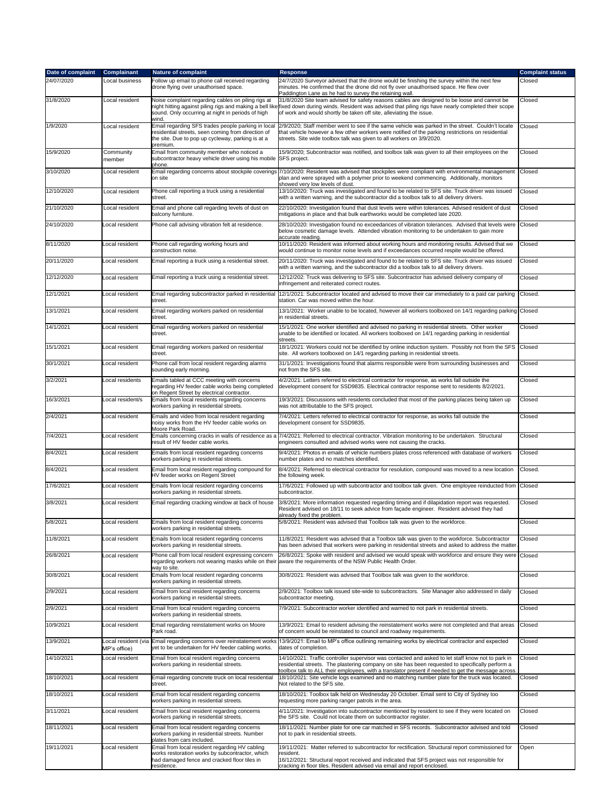| Date of complaint | Complainant         | Nature of complaint                                                                                                                                                      | Response                                                                                                                                                                                                                                                                                                                        | <b>Complaint status</b> |
|-------------------|---------------------|--------------------------------------------------------------------------------------------------------------------------------------------------------------------------|---------------------------------------------------------------------------------------------------------------------------------------------------------------------------------------------------------------------------------------------------------------------------------------------------------------------------------|-------------------------|
| 24/07/2020        | Local business      | Follow up email to phone call received regarding<br>drone flying over unauthorised space.                                                                                | 24/7/2020 Surveyor advised that the drone would be finishing the survey within the next few<br>minutes. He confirmed that the drone did not fly over unauthorised space. He flew over<br>Paddington Lane as he had to survey the retaining wall.                                                                                | Closed                  |
| 31/8/2020         | Local resident      | Noise complaint regarding cables on piling rigs at<br>sound. Only occurring at night in periods of high<br>wind.                                                         | 31/8/2020 Site team advised for safety reasons cables are designed to be loose and cannot be<br>night hitting against piling rigs and making a bell likefixed down during winds. Resident was advised that piling rigs have nearly completed their scope<br>of work and would shortly be taken off site, alleviating the issue. | Closed                  |
| 1/9/2020          | Local resident      | Email regarding SFS trades people parking in local<br>esidential streets, seen coming from direction of<br>the site. Due to pop up cycleway, parking is at a<br>premium. | 2/9/2020; Staff member went to see if the same vehicle was parked in the street. Couldn't locate<br>that vehicle however a few other workers were notified of the parking restrictions on residential<br>streets. Site wide toolbox talk was given to all workers on 3/9/2020.                                                  | Closed                  |
| 15/9/2020         | Community<br>member | Email from community member who noticed a<br>subcontractor heavy vehicle driver using his mobile                                                                         | 15/9/2020; Subcontractor was notified, and toolbox talk was given to all their employees on the<br>SFS project.                                                                                                                                                                                                                 | Closed                  |
| 3/10/2020         | Local resident      | hone.<br>on site                                                                                                                                                         | Email regarding concerns about stockpile coverings 7/10/2020: Resident was advised that stockpiles were compliant with environmental management<br>plan and were sprayed with a polymer prior to weekend commencing. Additionally, monitors<br>showed very low levels of dust.                                                  | Closed                  |
| 12/10/2020        | Local resident      | Phone call reporting a truck using a residential<br>street.                                                                                                              | 13/10/2020: Truck was investigated and found to be related to SFS site. Truck driver was issued<br>with a written warning, and the subcontractor did a toolbox talk to all delivery drivers.                                                                                                                                    | Closed                  |
| 21/10/2020        | Local resident      | Email and phone call regarding levels of dust on<br>balcony furniture.                                                                                                   | 22/10/2020: Investigation found that dust levels were within tolerances. Advised resident of dust<br>mitigations in place and that bulk earthworks would be completed late 2020.                                                                                                                                                | Closed                  |
| 24/10/2020        | _ocal resident      | Phone call advising vibration felt at residence.                                                                                                                         | 28/10/2020: Investigation found no exceedances of vibration tolerances. Advised that levels were<br>below cosmetic damage levels. Attended vibration monitoring to be undertaken to gain more<br>accurate reading.                                                                                                              | Closed                  |
| 8/11/2020         | Local resident      | Phone call regarding working hours and<br>construction noise.                                                                                                            | 10/11/2020: Resident was informed about working hours and monitoring results. Advised that we<br>would continue to monitor noise levels and if exceedances occurred respite would be offered.                                                                                                                                   | Closed                  |
| 20/11/2020        | Local resident      | Email reporting a truck using a residential street.                                                                                                                      | 20/11/2020: Truck was investigated and found to be related to SFS site. Truck driver was issued<br>with a written warning, and the subcontractor did a toolbox talk to all delivery drivers.                                                                                                                                    | Closed                  |
| 12/12/2020        | _ocal resident      | Email reporting a truck using a residential street.                                                                                                                      | 12/12/202: Truck was delivering to SFS site. Subcontractor has advised delivery company of<br>infringement and reiterated correct routes.                                                                                                                                                                                       | Closed                  |
| 12/1/2021         | _ocal resident      | Email regarding subcontractor parked in residential<br>street.                                                                                                           | 12/1/2021: Subcontractor located and advised to move their car immediately to a paid car parking<br>station. Car was moved within the hour.                                                                                                                                                                                     | Closed.                 |
| 13/1/2021         | _ocal resident      | Email regarding workers parked on residential<br>street.                                                                                                                 | 13/1/2021: Worker unable to be located, however all workers toolboxed on 14/1 regarding parking Closed<br>in residential streets.                                                                                                                                                                                               |                         |
| 14/1/2021         | _ocal resident      | Email regarding workers parked on residential<br>street.                                                                                                                 | 15/1/2021: One worker identified and advised no parking in residential streets. Other worker<br>unable to be identified or located. All workers toolboxed on 14/1 regarding parking in residential<br>streets.                                                                                                                  | Closed                  |
| 15/1/2021         | Local resident      | Email regarding workers parked on residential<br>street.                                                                                                                 | 18/1/2021: Workers could not be identified by online induction system. Possibly not from the SFS<br>site. All workers toolboxed on 14/1 regarding parking in residential streets.                                                                                                                                               | Closed                  |
| 30/1/2021         | Local resident      | Phone call from local resident regarding alarms<br>sounding early morning.                                                                                               | 31/1/2021: Investigations found that alarms responsible were from surrounding businesses and<br>not from the SFS site.                                                                                                                                                                                                          | Closed                  |
| 3/2/2021          | Local residents     | Emails tabled at CCC meeting with concerns<br>egarding HV feeder cable works being completed<br>on Regent Street by electrical contractor.                               | 4/2/2021: Letters referred to electrical contractor for response, as works fall outside the<br>development consent for SSD9835. Electrical contractor response sent to residents 8/2/2021.                                                                                                                                      | Closed                  |
| 16/3/2021         | _ocal resident/s    | Emails from local residents regarding concerns<br>workers parking in residential streets.                                                                                | 19/3/2021: Discussions with residents concluded that most of the parking places being taken up<br>was not attributable to the SFS project.                                                                                                                                                                                      | Closed                  |
| 2/4/2021          | Local resident      | Emails and video from local resident regarding<br>noisy works from the HV feeder cable works on<br>Moore Park Road.                                                      | 7/4/2021: Letters referred to electrical contractor for response, as works fall outside the<br>development consent for SSD9835.                                                                                                                                                                                                 | Closed                  |
| 7/4/2021          | _ocal resident      | Emails concerning cracks in walls of residence as a<br>esult of HV feeder cable works.                                                                                   | 7/4/2021: Referred to electrical contractor. Vibration monitoring to be undertaken. Structural<br>engineers consulted and advised works were not causing the cracks.                                                                                                                                                            | Closed                  |
| 8/4/2021          | _ocal resident      | Emails from local resident regarding concerns<br>workers parking in residential streets.                                                                                 | 9/4/2021: Photos in emails of vehicle numbers plates cross referenced with database of workers<br>number plates and no matches identified.                                                                                                                                                                                      | Closed                  |
| 8/4/2021          | _ocal resident      | Email from local resident regarding compound for<br>IV feeder works on Regent Street                                                                                     | 8/4/2021: Referred to electrical contractor for resolution, compound was moved to a new location<br>the following week.                                                                                                                                                                                                         | Closed.                 |
| 17/6/2021         | Local resident      | Emails from local resident regarding concerns<br>workers parking in residential streets.                                                                                 | 17/6/2021: Followed up with subcontractor and toolbox talk given. One employee reinducted from<br>subcontractor.                                                                                                                                                                                                                | Closed                  |
| 3/8/2021          | Local resident      | Email regarding cracking window at back of house                                                                                                                         | 3/8/2021: More information requested regarding timing and if dilapidation report was requested.<br>Resident advised on 18/11 to seek advice from façade engineer. Resident advised they had<br>already fixed the problem.                                                                                                       | Closed                  |
| 5/8/2021          | ocal resident.      | Emails from local resident regarding concerns<br>workers parking in residential streets.                                                                                 | 5/8/2021: Resident was advised that Toolbox talk was given to the workforce.                                                                                                                                                                                                                                                    | Closed                  |
| 11/8/2021         | ocal resident.      | Emails from local resident regarding concerns<br>workers parking in residential streets.                                                                                 | 11/8/2021: Resident was advised that a Toolbox talk was given to the workforce. Subcontractor<br>has been advised that workers were parking in residential streets and asked to address the matter.                                                                                                                             | Closed                  |
| 26/8/2021         | _ocal resident      | Phone call from local resident expressing concern<br>egarding workers not wearing masks while on their<br>way to site.                                                   | 26/8/2021: Spoke with resident and advised we would speak with workforce and ensure they were Closed<br>aware the requirements of the NSW Public Health Order.                                                                                                                                                                  |                         |
| 30/8/2021         | Local resident      | Emails from local resident regarding concerns<br>workers parking in residential streets.                                                                                 | 30/8/2021: Resident was advised that Toolbox talk was given to the workforce.                                                                                                                                                                                                                                                   | Closed                  |
| 2/9/2021          | _ocal resident      | Email from local resident regarding concerns<br>workers parking in residential streets.                                                                                  | 2/9/2021: Toolbox talk issued site-wide to subcontractors. Site Manager also addressed in daily<br>subcontractor meeting.                                                                                                                                                                                                       | Closed                  |
| 2/9/2021          | Local resident      | Email from local resident regarding concerns<br>workers parking in residential streets.                                                                                  | 7/9/2021: Subcontractor worker identified and warned to not park in residential streets.                                                                                                                                                                                                                                        | Closed                  |
| 10/9/2021         | Local resident      | Email regarding reinstatement works on Moore<br>Park road.                                                                                                               | 13/9/2021: Email to resident advising the reinstatement works were not completed and that areas<br>of concern would be reinstated to council and roadway requirements.                                                                                                                                                          | Closed                  |
| 13/9/2021         | MP's office)        | Local resident (via Email regarding concerns over reinstatement works<br>yet to be undertaken for HV feeder cabling works.                                               | 13/9/2021: Email to MP's office outlining remaining works by electrical contractor and expected<br>dates of completion.                                                                                                                                                                                                         | Closed                  |
| 14/10/2021        | _ocal resident      | Email from local resident regarding concerns<br>workers parking in residential streets.                                                                                  | 14/10/2021: Traffic controller supervisor was contacted and asked to let staff know not to park in<br>residential streets. The plastering company on site has been requested to specifically perform a<br>toolbox talk to ALL their employees, with a translator present if needed to get the message across                    | Closed                  |
| 18/10/2021        | _ocal resident      | Email regarding concrete truck on local residential<br>street.                                                                                                           | 18/10/2021: Site vehicle logs examined and no matching number plate for the truck was located.<br>Not related to the SFS site.                                                                                                                                                                                                  | Closed                  |
| 18/10/2021        | _ocal resident      | Email from local resident regarding concerns<br>workers parking in residential streets.                                                                                  | 18/10/2021: Toolbox talk held on Wednesday 20 October. Email sent to City of Sydney too<br>requesting more parking ranger patrols in the area.                                                                                                                                                                                  | Closed                  |
| 3/11/2021         | _ocal resident      | Email from local resident regarding concerns<br>workers parking in residential streets.                                                                                  | 4/11/2021: Investigation into subcontractor mentioned by resident to see if they were located on<br>the SFS site. Could not locate them on subcontractor register.                                                                                                                                                              | Closed                  |
| 18/11/2021        | _ocal resident      | Email from local resident regarding concerns<br>workers parking in residential streets. Number<br>plates from cars included.                                             | 18/11/2021: Number plate for one car matched in SFS records. Subcontractor advised and told<br>not to park in residential streets.                                                                                                                                                                                              | Closed                  |
| 19/11/2021        | Local resident      | Email from local resident regarding HV cabling<br>works restoration works by subcontractor, which<br>had damaged fence and cracked floor tiles in<br>esidence.           | 19/11/2021: Matter referred to subcontractor for rectification. Structural report commissioned for<br>resident.<br>16/12/2021: Structural report received and indicated that SFS project was not responsible for<br>cracking in floor tiles. Resident advised via email and report enclosed.                                    | Open                    |